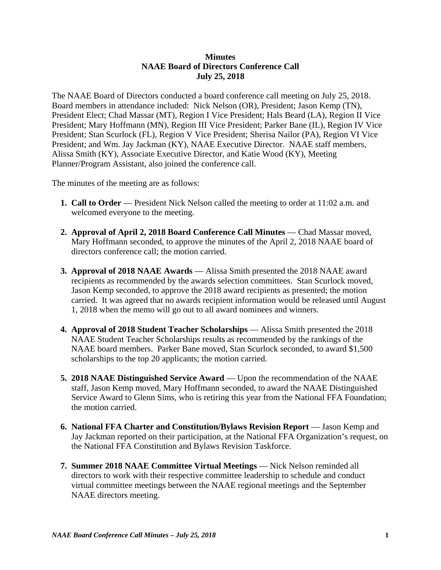## **Minutes NAAE Board of Directors Conference Call July 25, 2018**

The NAAE Board of Directors conducted a board conference call meeting on July 25, 2018. Board members in attendance included: Nick Nelson (OR), President; Jason Kemp (TN), President Elect; Chad Massar (MT), Region I Vice President; Hals Beard (LA), Region II Vice President; Mary Hoffmann (MN), Region III Vice President; Parker Bane (IL), Region IV Vice President; Stan Scurlock (FL), Region V Vice President; Sherisa Nailor (PA), Region VI Vice President; and Wm. Jay Jackman (KY), NAAE Executive Director. NAAE staff members, Alissa Smith (KY), Associate Executive Director, and Katie Wood (KY), Meeting Planner/Program Assistant, also joined the conference call.

The minutes of the meeting are as follows:

- **1. Call to Order** President Nick Nelson called the meeting to order at 11:02 a.m. and welcomed everyone to the meeting.
- **2. Approval of April 2, 2018 Board Conference Call Minutes Chad Massar moved,** Mary Hoffmann seconded, to approve the minutes of the April 2, 2018 NAAE board of directors conference call; the motion carried.
- **3. Approval of 2018 NAAE Awards** Alissa Smith presented the 2018 NAAE award recipients as recommended by the awards selection committees. Stan Scurlock moved, Jason Kemp seconded, to approve the 2018 award recipients as presented; the motion carried. It was agreed that no awards recipient information would be released until August 1, 2018 when the memo will go out to all award nominees and winners.
- **4. Approval of 2018 Student Teacher Scholarships**  Alissa Smith presented the 2018 NAAE Student Teacher Scholarships results as recommended by the rankings of the NAAE board members. Parker Bane moved, Stan Scurlock seconded, to award \$1,500 scholarships to the top 20 applicants; the motion carried.
- **5. 2018 NAAE Distinguished Service Award**  Upon the recommendation of the NAAE staff, Jason Kemp moved, Mary Hoffmann seconded, to award the NAAE Distinguished Service Award to Glenn Sims, who is retiring this year from the National FFA Foundation; the motion carried.
- **6. National FFA Charter and Constitution/Bylaws Revision Report** Jason Kemp and Jay Jackman reported on their participation, at the National FFA Organization's request, on the National FFA Constitution and Bylaws Revision Taskforce.
- **7. Summer 2018 NAAE Committee Virtual Meetings**  Nick Nelson reminded all directors to work with their respective committee leadership to schedule and conduct virtual committee meetings between the NAAE regional meetings and the September NAAE directors meeting.